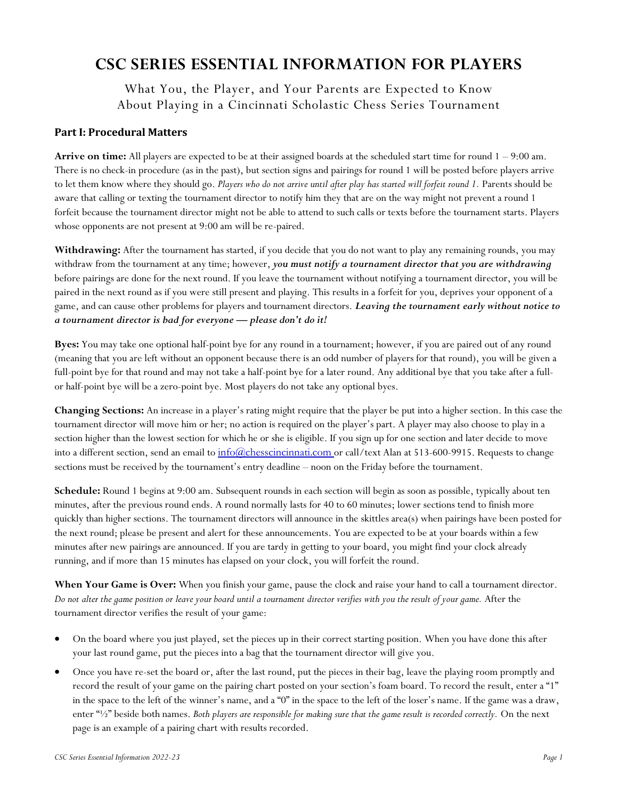# **CSC SERIES ESSENTIAL INFORMATION FOR PLAYERS**

What You, the Player, and Your Parents are Expected to Know About Playing in a Cincinnati Scholastic Chess Series Tournament

## **Part I: Procedural Matters**

**Arrive on time:** All players are expected to be at their assigned boards at the scheduled start time for round 1 – 9:00 am. There is no check-in procedure (as in the past), but section signs and pairings for round 1 will be posted before players arrive to let them know where they should go. *Players who do not arrive until after play has started will forfeit round 1.* Parents should be aware that calling or texting the tournament director to notify him they that are on the way might not prevent a round 1 forfeit because the tournament director might not be able to attend to such calls or texts before the tournament starts. Players whose opponents are not present at 9:00 am will be re-paired.

**Withdrawing:** After the tournament has started, if you decide that you do not want to play any remaining rounds, you may withdraw from the tournament at any time; however, *you must notify a tournament director that you are withdrawing* before pairings are done for the next round. If you leave the tournament without notifying a tournament director, you will be paired in the next round as if you were still present and playing. This results in a forfeit for you, deprives your opponent of a game, and can cause other problems for players and tournament directors. *Leaving the tournament early without notice to a tournament director is bad for everyone — please don't do it!*

**Byes:** You may take one optional half-point bye for any round in a tournament; however, if you are paired out of any round (meaning that you are left without an opponent because there is an odd number of players for that round), you will be given a full-point bye for that round and may not take a half-point bye for a later round. Any additional bye that you take after a fullor half-point bye will be a zero-point bye. Most players do not take any optional byes.

**Changing Sections:** An increase in a player's rating might require that the player be put into a higher section. In this case the tournament director will move him or her; no action is required on the player's part. A player may also choose to play in a section higher than the lowest section for which he or she is eligible. If you sign up for one section and later decide to move into a different section, send an email to [info@chesscincinnati.com](mailto:info@chesscincinnati.com) or call/text Alan at 513-600-9915. Requests to change sections must be received by the tournament's entry deadline – noon on the Friday before the tournament.

**Schedule:** Round 1 begins at 9:00 am. Subsequent rounds in each section will begin as soon as possible, typically about ten minutes, after the previous round ends. A round normally lasts for 40 to 60 minutes; lower sections tend to finish more quickly than higher sections. The tournament directors will announce in the skittles area(s) when pairings have been posted for the next round; please be present and alert for these announcements. You are expected to be at your boards within a few minutes after new pairings are announced. If you are tardy in getting to your board, you might find your clock already running, and if more than 15 minutes has elapsed on your clock, you will forfeit the round.

**When Your Game is Over:** When you finish your game, pause the clock and raise your hand to call a tournament director. *Do not alter the game position or leave your board until a tournament director verifies with you the result of your game.* After the tournament director verifies the result of your game:

- On the board where you just played, set the pieces up in their correct starting position. When you have done this after your last round game, put the pieces into a bag that the tournament director will give you.
- Once you have re-set the board or, after the last round, put the pieces in their bag, leave the playing room promptly and record the result of your game on the pairing chart posted on your section's foam board. To record the result, enter a "1" in the space to the left of the winner's name, and a "0" in the space to the left of the loser's name. If the game was a draw, enter "½" beside both names. *Both players are responsible for making sure that the game result is recorded correctly.* On the next page is an example of a pairing chart with results recorded.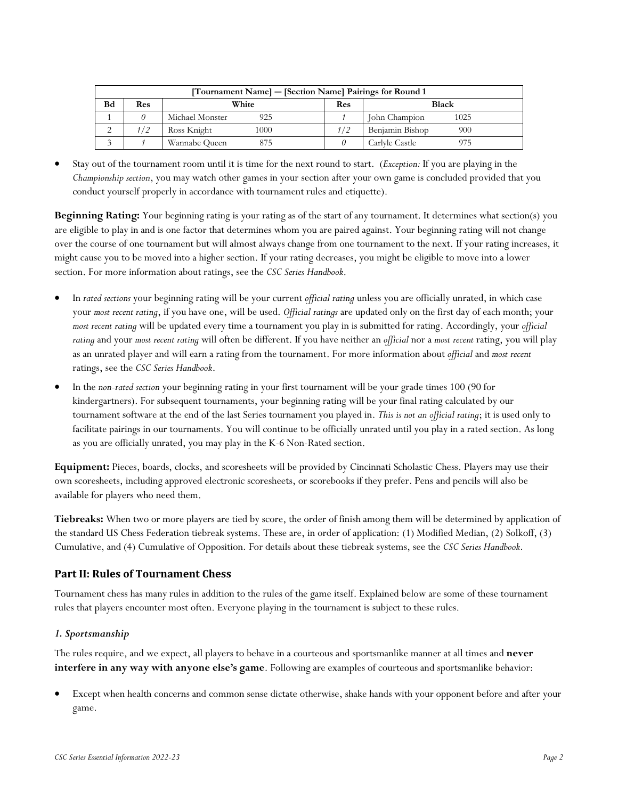| [Tournament Name] – [Section Name] Pairings for Round 1 |     |                        |     |                        |  |
|---------------------------------------------------------|-----|------------------------|-----|------------------------|--|
| Bd                                                      | Res | White                  | Res | <b>Black</b>           |  |
|                                                         |     | Michael Monster<br>925 |     | John Champion<br>1025  |  |
|                                                         | 1/2 | Ross Knight<br>1000    | 1/2 | Benjamin Bishop<br>900 |  |
|                                                         |     | Wannabe Queen<br>875   |     | Carlyle Castle         |  |

• Stay out of the tournament room until it is time for the next round to start. (*Exception:* If you are playing in the *Championship section*, you may watch other games in your section after your own game is concluded provided that you conduct yourself properly in accordance with tournament rules and etiquette).

**Beginning Rating:** Your beginning rating is your rating as of the start of any tournament. It determines what section(s) you are eligible to play in and is one factor that determines whom you are paired against. Your beginning rating will not change over the course of one tournament but will almost always change from one tournament to the next. If your rating increases, it might cause you to be moved into a higher section. If your rating decreases, you might be eligible to move into a lower section. For more information about ratings, see the *CSC Series Handbook*.

- In *rated sections* your beginning rating will be your current *official rating* unless you are officially unrated, in which case your *most recent rating*, if you have one, will be used. *Official ratings* are updated only on the first day of each month; your *most recent rating* will be updated every time a tournament you play in is submitted for rating. Accordingly, your *official rating* and your *most recent rating* will often be different. If you have neither an *official* nor a *most recent* rating, you will play as an unrated player and will earn a rating from the tournament. For more information about *official* and *most recent* ratings, see the *CSC Series Handbook*.
- In the *non-rated section* your beginning rating in your first tournament will be your grade times 100 (90 for kindergartners). For subsequent tournaments, your beginning rating will be your final rating calculated by our tournament software at the end of the last Series tournament you played in. *This is not an official rating*; it is used only to facilitate pairings in our tournaments. You will continue to be officially unrated until you play in a rated section. As long as you are officially unrated, you may play in the K-6 Non-Rated section.

**Equipment:** Pieces, boards, clocks, and scoresheets will be provided by Cincinnati Scholastic Chess. Players may use their own scoresheets, including approved electronic scoresheets, or scorebooks if they prefer. Pens and pencils will also be available for players who need them.

**Tiebreaks:** When two or more players are tied by score, the order of finish among them will be determined by application of the standard US Chess Federation tiebreak systems. These are, in order of application: (1) Modified Median, (2) Solkoff, (3) Cumulative, and (4) Cumulative of Opposition. For details about these tiebreak systems, see the *CSC Series Handbook*.

## **Part II: Rules of Tournament Chess**

Tournament chess has many rules in addition to the rules of the game itself. Explained below are some of these tournament rules that players encounter most often. Everyone playing in the tournament is subject to these rules.

## *1. Sportsmanship*

The rules require, and we expect, all players to behave in a courteous and sportsmanlike manner at all times and **never interfere in any way with anyone else's game**. Following are examples of courteous and sportsmanlike behavior:

• Except when health concerns and common sense dictate otherwise, shake hands with your opponent before and after your game.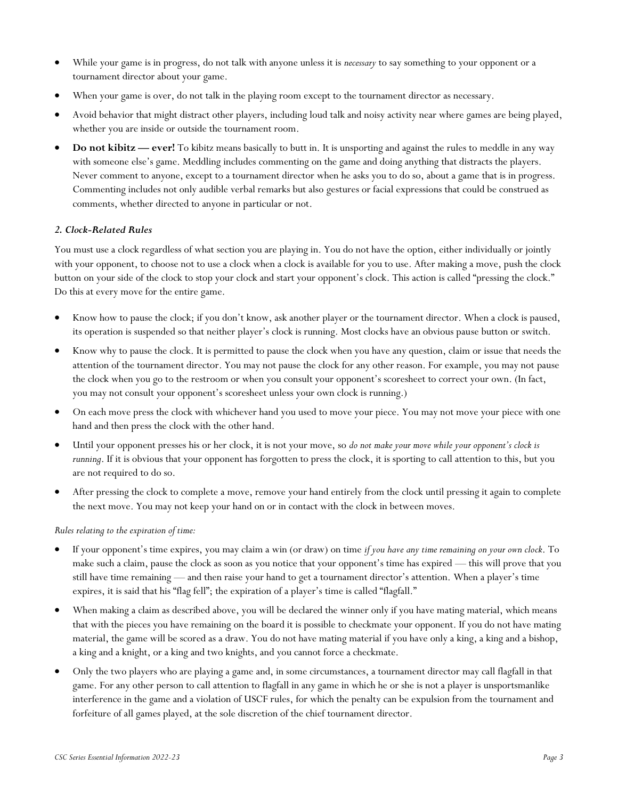- While your game is in progress, do not talk with anyone unless it is *necessary* to say something to your opponent or a tournament director about your game.
- When your game is over, do not talk in the playing room except to the tournament director as necessary.
- Avoid behavior that might distract other players, including loud talk and noisy activity near where games are being played, whether you are inside or outside the tournament room.
- **Do not kibitz ever!** To kibitz means basically to butt in. It is unsporting and against the rules to meddle in any way with someone else's game. Meddling includes commenting on the game and doing anything that distracts the players. Never comment to anyone, except to a tournament director when he asks you to do so, about a game that is in progress. Commenting includes not only audible verbal remarks but also gestures or facial expressions that could be construed as comments, whether directed to anyone in particular or not.

### *2. Clock-Related Rules*

You must use a clock regardless of what section you are playing in. You do not have the option, either individually or jointly with your opponent, to choose not to use a clock when a clock is available for you to use. After making a move, push the clock button on your side of the clock to stop your clock and start your opponent's clock. This action is called "pressing the clock." Do this at every move for the entire game.

- Know how to pause the clock; if you don't know, ask another player or the tournament director. When a clock is paused, its operation is suspended so that neither player's clock is running. Most clocks have an obvious pause button or switch.
- Know why to pause the clock. It is permitted to pause the clock when you have any question, claim or issue that needs the attention of the tournament director. You may not pause the clock for any other reason. For example, you may not pause the clock when you go to the restroom or when you consult your opponent's scoresheet to correct your own. (In fact, you may not consult your opponent's scoresheet unless your own clock is running.)
- On each move press the clock with whichever hand you used to move your piece. You may not move your piece with one hand and then press the clock with the other hand.
- Until your opponent presses his or her clock, it is not your move, so *do not make your move while your opponent's clock is running*. If it is obvious that your opponent has forgotten to press the clock, it is sporting to call attention to this, but you are not required to do so.
- After pressing the clock to complete a move, remove your hand entirely from the clock until pressing it again to complete the next move. You may not keep your hand on or in contact with the clock in between moves.

#### *Rules relating to the expiration of time:*

- If your opponent's time expires, you may claim a win (or draw) on time *if you have any time remaining on your own clock*. To make such a claim, pause the clock as soon as you notice that your opponent's time has expired — this will prove that you still have time remaining — and then raise your hand to get a tournament director's attention. When a player's time expires, it is said that his "flag fell"; the expiration of a player's time is called "flagfall."
- When making a claim as described above, you will be declared the winner only if you have mating material, which means that with the pieces you have remaining on the board it is possible to checkmate your opponent. If you do not have mating material, the game will be scored as a draw. You do not have mating material if you have only a king, a king and a bishop, a king and a knight, or a king and two knights, and you cannot force a checkmate.
- Only the two players who are playing a game and, in some circumstances, a tournament director may call flagfall in that game. For any other person to call attention to flagfall in any game in which he or she is not a player is unsportsmanlike interference in the game and a violation of USCF rules, for which the penalty can be expulsion from the tournament and forfeiture of all games played, at the sole discretion of the chief tournament director.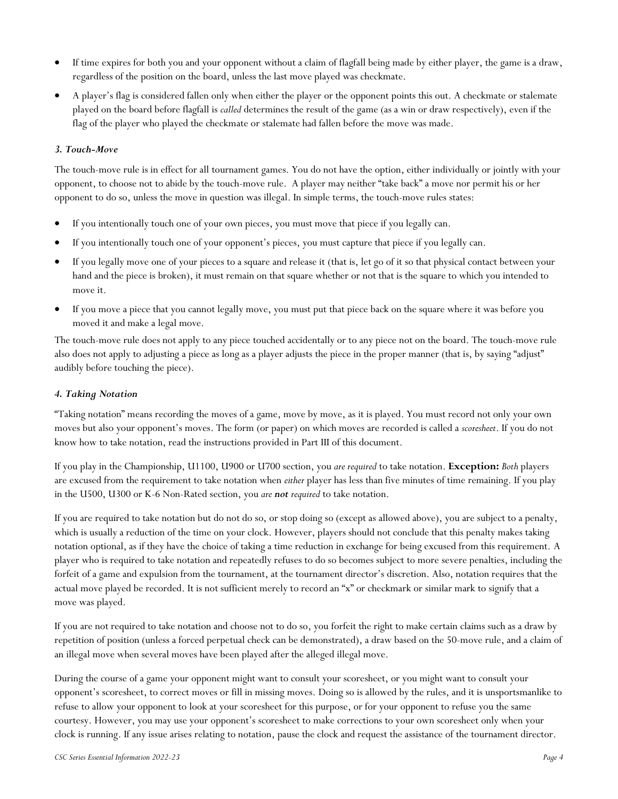- If time expires for both you and your opponent without a claim of flagfall being made by either player, the game is a draw, regardless of the position on the board, unless the last move played was checkmate.
- A player's flag is considered fallen only when either the player or the opponent points this out. A checkmate or stalemate played on the board before flagfall is *called* determines the result of the game (as a win or draw respectively), even if the flag of the player who played the checkmate or stalemate had fallen before the move was made.

### *3. Touch-Move*

The touch-move rule is in effect for all tournament games. You do not have the option, either individually or jointly with your opponent, to choose not to abide by the touch-move rule. A player may neither "take back" a move nor permit his or her opponent to do so, unless the move in question was illegal. In simple terms, the touch-move rules states:

- If you intentionally touch one of your own pieces, you must move that piece if you legally can.
- If you intentionally touch one of your opponent's pieces, you must capture that piece if you legally can.
- If you legally move one of your pieces to a square and release it (that is, let go of it so that physical contact between your hand and the piece is broken), it must remain on that square whether or not that is the square to which you intended to move it.
- If you move a piece that you cannot legally move, you must put that piece back on the square where it was before you moved it and make a legal move.

The touch-move rule does not apply to any piece touched accidentally or to any piece not on the board. The touch-move rule also does not apply to adjusting a piece as long as a player adjusts the piece in the proper manner (that is, by saying "adjust" audibly before touching the piece).

#### *4. Taking Notation*

"Taking notation" means recording the moves of a game, move by move, as it is played. You must record not only your own moves but also your opponent's moves. The form (or paper) on which moves are recorded is called a *scoresheet*. If you do not know how to take notation, read the instructions provided in Part III of this document.

If you play in the Championship, U1100, U900 or U700 section, you *are required* to take notation. **Exception:** *Both* players are excused from the requirement to take notation when *either* player has less than five minutes of time remaining. If you play in the U500, U300 or K-6 Non-Rated section, you *are not required* to take notation.

If you are required to take notation but do not do so, or stop doing so (except as allowed above), you are subject to a penalty, which is usually a reduction of the time on your clock. However, players should not conclude that this penalty makes taking notation optional, as if they have the choice of taking a time reduction in exchange for being excused from this requirement. A player who is required to take notation and repeatedly refuses to do so becomes subject to more severe penalties, including the forfeit of a game and expulsion from the tournament, at the tournament director's discretion. Also, notation requires that the actual move played be recorded. It is not sufficient merely to record an "x" or checkmark or similar mark to signify that a move was played.

If you are not required to take notation and choose not to do so, you forfeit the right to make certain claims such as a draw by repetition of position (unless a forced perpetual check can be demonstrated), a draw based on the 50-move rule, and a claim of an illegal move when several moves have been played after the alleged illegal move.

During the course of a game your opponent might want to consult your scoresheet, or you might want to consult your opponent's scoresheet, to correct moves or fill in missing moves. Doing so is allowed by the rules, and it is unsportsmanlike to refuse to allow your opponent to look at your scoresheet for this purpose, or for your opponent to refuse you the same courtesy. However, you may use your opponent's scoresheet to make corrections to your own scoresheet only when your clock is running. If any issue arises relating to notation, pause the clock and request the assistance of the tournament director.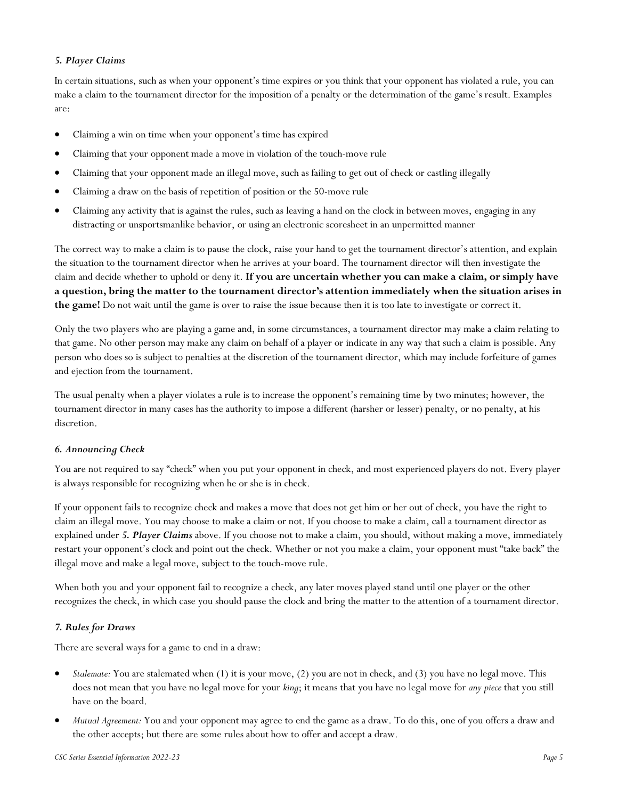#### *5. Player Claims*

In certain situations, such as when your opponent's time expires or you think that your opponent has violated a rule, you can make a claim to the tournament director for the imposition of a penalty or the determination of the game's result. Examples are:

- Claiming a win on time when your opponent's time has expired
- Claiming that your opponent made a move in violation of the touch-move rule
- Claiming that your opponent made an illegal move, such as failing to get out of check or castling illegally
- Claiming a draw on the basis of repetition of position or the 50-move rule
- Claiming any activity that is against the rules, such as leaving a hand on the clock in between moves, engaging in any distracting or unsportsmanlike behavior, or using an electronic scoresheet in an unpermitted manner

The correct way to make a claim is to pause the clock, raise your hand to get the tournament director's attention, and explain the situation to the tournament director when he arrives at your board. The tournament director will then investigate the claim and decide whether to uphold or deny it. **If you are uncertain whether you can make a claim, or simply have a question, bring the matter to the tournament director's attention immediately when the situation arises in the game!** Do not wait until the game is over to raise the issue because then it is too late to investigate or correct it.

Only the two players who are playing a game and, in some circumstances, a tournament director may make a claim relating to that game. No other person may make any claim on behalf of a player or indicate in any way that such a claim is possible. Any person who does so is subject to penalties at the discretion of the tournament director, which may include forfeiture of games and ejection from the tournament.

The usual penalty when a player violates a rule is to increase the opponent's remaining time by two minutes; however, the tournament director in many cases has the authority to impose a different (harsher or lesser) penalty, or no penalty, at his discretion.

#### *6. Announcing Check*

You are not required to say "check" when you put your opponent in check, and most experienced players do not. Every player is always responsible for recognizing when he or she is in check.

If your opponent fails to recognize check and makes a move that does not get him or her out of check, you have the right to claim an illegal move. You may choose to make a claim or not. If you choose to make a claim, call a tournament director as explained under *5. Player Claims* above. If you choose not to make a claim, you should, without making a move, immediately restart your opponent's clock and point out the check. Whether or not you make a claim, your opponent must "take back" the illegal move and make a legal move, subject to the touch-move rule.

When both you and your opponent fail to recognize a check, any later moves played stand until one player or the other recognizes the check, in which case you should pause the clock and bring the matter to the attention of a tournament director.

## *7. Rules for Draws*

There are several ways for a game to end in a draw:

- *Stalemate:* You are stalemated when (1) it is your move, (2) you are not in check, and (3) you have no legal move. This does not mean that you have no legal move for your *king*; it means that you have no legal move for *any piece* that you still have on the board.
- *Mutual Agreement:* You and your opponent may agree to end the game as a draw. To do this, one of you offers a draw and the other accepts; but there are some rules about how to offer and accept a draw.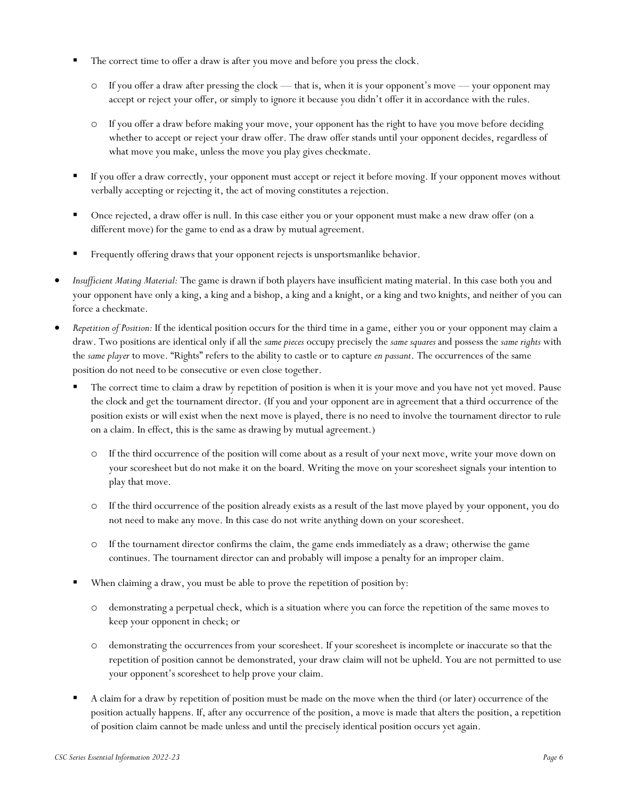- The correct time to offer a draw is after you move and before you press the clock.
	- o If you offer a draw after pressing the clock that is, when it is your opponent's move your opponent may accept or reject your offer, or simply to ignore it because you didn't offer it in accordance with the rules.
	- o If you offer a draw before making your move, your opponent has the right to have you move before deciding whether to accept or reject your draw offer. The draw offer stands until your opponent decides, regardless of what move you make, unless the move you play gives checkmate.
- If you offer a draw correctly, your opponent must accept or reject it before moving. If your opponent moves without verbally accepting or rejecting it, the act of moving constitutes a rejection.
- Once rejected, a draw offer is null. In this case either you or your opponent must make a new draw offer (on a different move) for the game to end as a draw by mutual agreement.
- Frequently offering draws that your opponent rejects is unsportsmanlike behavior.
- *Insufficient Mating Material:* The game is drawn if both players have insufficient mating material. In this case both you and your opponent have only a king, a king and a bishop, a king and a knight, or a king and two knights, and neither of you can force a checkmate.
- *Repetition of Position:* If the identical position occurs for the third time in a game, either you or your opponent may claim a draw. Two positions are identical only if all the *same pieces* occupy precisely the *same squares* and possess the *same rights* with the *same player* to move. "Rights" refers to the ability to castle or to capture *en passant*. The occurrences of the same position do not need to be consecutive or even close together.
	- The correct time to claim a draw by repetition of position is when it is your move and you have not yet moved. Pause the clock and get the tournament director. (If you and your opponent are in agreement that a third occurrence of the position exists or will exist when the next move is played, there is no need to involve the tournament director to rule on a claim. In effect, this is the same as drawing by mutual agreement.)
		- o If the third occurrence of the position will come about as a result of your next move, write your move down on your scoresheet but do not make it on the board. Writing the move on your scoresheet signals your intention to play that move.
		- o If the third occurrence of the position already exists as a result of the last move played by your opponent, you do not need to make any move. In this case do not write anything down on your scoresheet.
		- o If the tournament director confirms the claim, the game ends immediately as a draw; otherwise the game continues. The tournament director can and probably will impose a penalty for an improper claim.
	- When claiming a draw, you must be able to prove the repetition of position by:
		- o demonstrating a perpetual check, which is a situation where you can force the repetition of the same moves to keep your opponent in check; or
		- o demonstrating the occurrences from your scoresheet. If your scoresheet is incomplete or inaccurate so that the repetition of position cannot be demonstrated, your draw claim will not be upheld. You are not permitted to use your opponent's scoresheet to help prove your claim.
	- A claim for a draw by repetition of position must be made on the move when the third (or later) occurrence of the position actually happens. If, after any occurrence of the position, a move is made that alters the position, a repetition of position claim cannot be made unless and until the precisely identical position occurs yet again.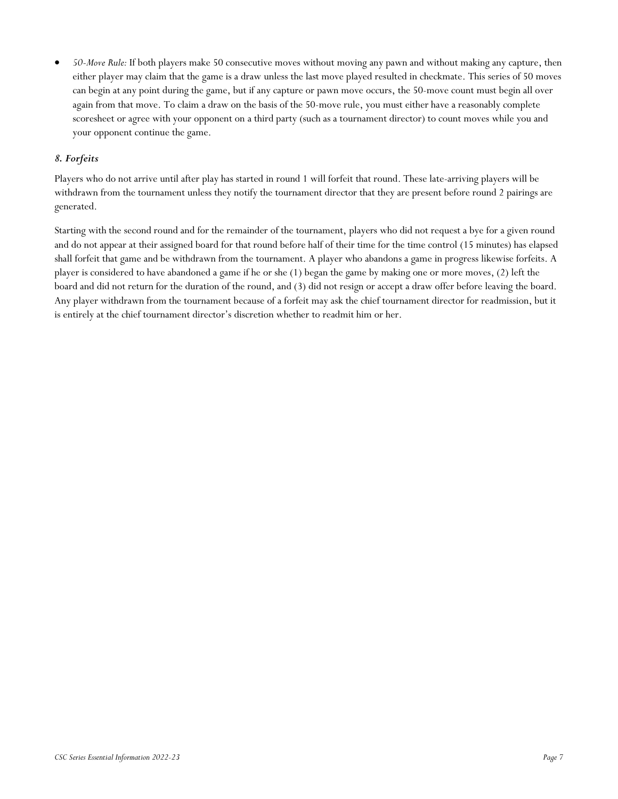• *50-Move Rule:* If both players make 50 consecutive moves without moving any pawn and without making any capture, then either player may claim that the game is a draw unless the last move played resulted in checkmate. This series of 50 moves can begin at any point during the game, but if any capture or pawn move occurs, the 50-move count must begin all over again from that move. To claim a draw on the basis of the 50-move rule, you must either have a reasonably complete scoresheet or agree with your opponent on a third party (such as a tournament director) to count moves while you and your opponent continue the game.

## *8. Forfeits*

Players who do not arrive until after play has started in round 1 will forfeit that round. These late-arriving players will be withdrawn from the tournament unless they notify the tournament director that they are present before round 2 pairings are generated.

Starting with the second round and for the remainder of the tournament, players who did not request a bye for a given round and do not appear at their assigned board for that round before half of their time for the time control (15 minutes) has elapsed shall forfeit that game and be withdrawn from the tournament. A player who abandons a game in progress likewise forfeits. A player is considered to have abandoned a game if he or she (1) began the game by making one or more moves, (2) left the board and did not return for the duration of the round, and (3) did not resign or accept a draw offer before leaving the board. Any player withdrawn from the tournament because of a forfeit may ask the chief tournament director for readmission, but it is entirely at the chief tournament director's discretion whether to readmit him or her.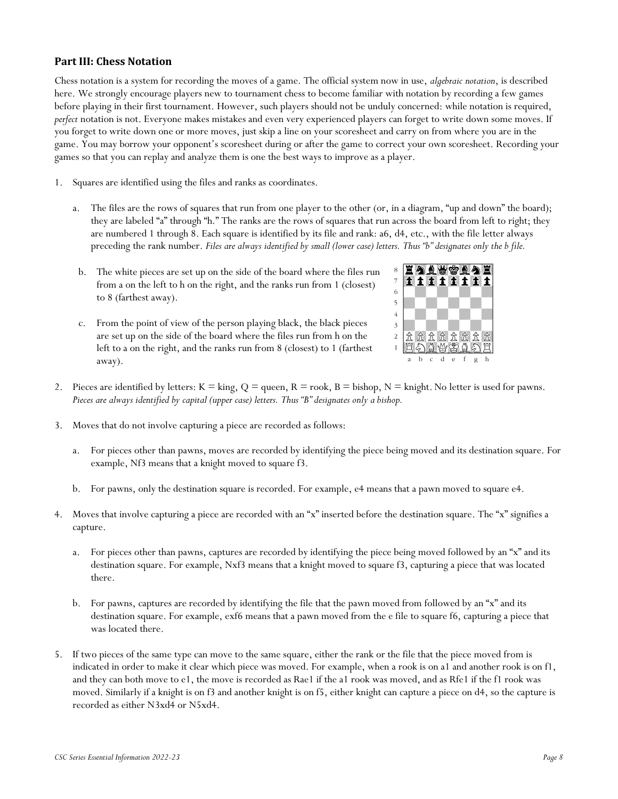## **Part III: Chess Notation**

Chess notation is a system for recording the moves of a game. The official system now in use, *algebraic notation*, is described here. We strongly encourage players new to tournament chess to become familiar with notation by recording a few games before playing in their first tournament. However, such players should not be unduly concerned: while notation is required, *perfect* notation is not. Everyone makes mistakes and even very experienced players can forget to write down some moves. If you forget to write down one or more moves, just skip a line on your scoresheet and carry on from where you are in the game. You may borrow your opponent's scoresheet during or after the game to correct your own scoresheet. Recording your games so that you can replay and analyze them is one the best ways to improve as a player.

- 1. Squares are identified using the files and ranks as coordinates.
	- a. The files are the rows of squares that run from one player to the other (or, in a diagram, "up and down" the board); they are labeled "a" through "h." The ranks are the rows of squares that run across the board from left to right; they are numbered 1 through 8. Each square is identified by its file and rank: a6, d4, etc., with the file letter always preceding the rank number. *Files are always identified by small (lower case) letters. Thus "b" designates only the b file.*
	- b. The white pieces are set up on the side of the board where the files run from a on the left to h on the right, and the ranks run from 1 (closest) to 8 (farthest away).
	- c. From the point of view of the person playing black, the black pieces are set up on the side of the board where the files run from h on the left to a on the right, and the ranks run from 8 (closest) to 1 (farthest away).



- 2. Pieces are identified by letters:  $K =$  king,  $Q =$  queen,  $R =$  rook,  $B =$  bishop,  $N =$  knight. No letter is used for pawns. *Pieces are always identified by capital (upper case) letters. Thus "B" designates only a bishop.*
- 3. Moves that do not involve capturing a piece are recorded as follows:
	- a. For pieces other than pawns, moves are recorded by identifying the piece being moved and its destination square. For example, Nf3 means that a knight moved to square f3.
	- b. For pawns, only the destination square is recorded. For example, e4 means that a pawn moved to square e4.
- 4. Moves that involve capturing a piece are recorded with an "x" inserted before the destination square. The "x" signifies a capture.
	- a. For pieces other than pawns, captures are recorded by identifying the piece being moved followed by an "x" and its destination square. For example, Nxf3 means that a knight moved to square f3, capturing a piece that was located there.
	- b. For pawns, captures are recorded by identifying the file that the pawn moved from followed by an "x" and its destination square. For example, exf6 means that a pawn moved from the e file to square f6, capturing a piece that was located there.
- 5. If two pieces of the same type can move to the same square, either the rank or the file that the piece moved from is indicated in order to make it clear which piece was moved. For example, when a rook is on a1 and another rook is on f1, and they can both move to e1, the move is recorded as Rae1 if the a1 rook was moved, and as Rfe1 if the f1 rook was moved. Similarly if a knight is on f3 and another knight is on f5, either knight can capture a piece on d4, so the capture is recorded as either N3xd4 or N5xd4.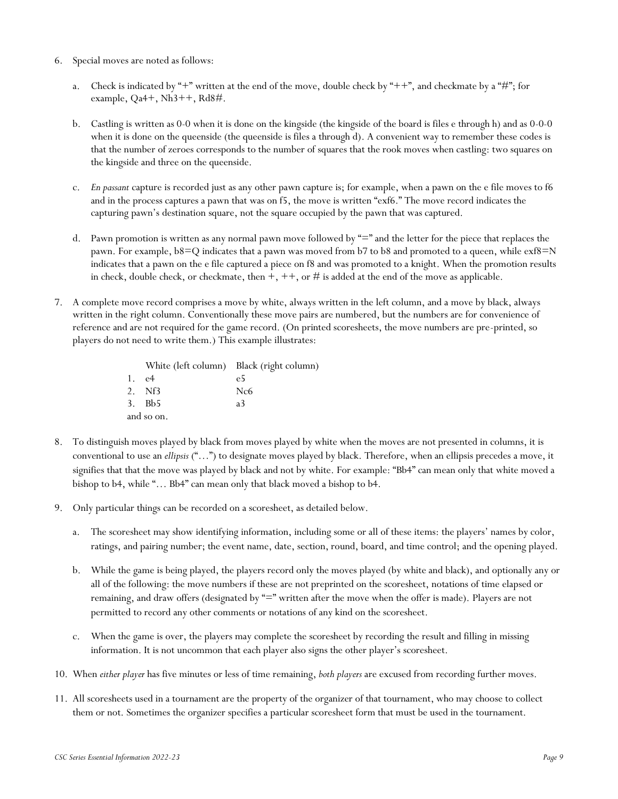- 6. Special moves are noted as follows:
	- a. Check is indicated by "+" written at the end of the move, double check by "++", and checkmate by a "#"; for example, Qa4+, Nh3++, Rd8#.
	- b. Castling is written as 0-0 when it is done on the kingside (the kingside of the board is files e through h) and as 0-0-0 when it is done on the queenside (the queenside is files a through d). A convenient way to remember these codes is that the number of zeroes corresponds to the number of squares that the rook moves when castling: two squares on the kingside and three on the queenside.
	- c. *En passant* capture is recorded just as any other pawn capture is; for example, when a pawn on the e file moves to f6 and in the process captures a pawn that was on f5, the move is written "exf6." The move record indicates the capturing pawn's destination square, not the square occupied by the pawn that was captured.
	- d. Pawn promotion is written as any normal pawn move followed by "=" and the letter for the piece that replaces the pawn. For example, b8=Q indicates that a pawn was moved from b7 to b8 and promoted to a queen, while exf8=N indicates that a pawn on the e file captured a piece on f8 and was promoted to a knight. When the promotion results in check, double check, or checkmate, then  $+, ++,$  or  $#$  is added at the end of the move as applicable.
- 7. A complete move record comprises a move by white, always written in the left column, and a move by black, always written in the right column. Conventionally these move pairs are numbered, but the numbers are for convenience of reference and are not required for the game record. (On printed scoresheets, the move numbers are pre-printed, so players do not need to write them.) This example illustrates:

|            | White (left column) Black (right column) |
|------------|------------------------------------------|
| 1. e4      | e5                                       |
| 2. Nf3     | Nc <sub>6</sub>                          |
| 3. Bb5     | a3                                       |
| and so on. |                                          |

- 8. To distinguish moves played by black from moves played by white when the moves are not presented in columns, it is conventional to use an *ellipsis* ("…") to designate moves played by black. Therefore, when an ellipsis precedes a move, it signifies that that the move was played by black and not by white. For example: "Bb4" can mean only that white moved a bishop to b4, while "… Bb4" can mean only that black moved a bishop to b4.
- 9. Only particular things can be recorded on a scoresheet, as detailed below.
	- a. The scoresheet may show identifying information, including some or all of these items: the players' names by color, ratings, and pairing number; the event name, date, section, round, board, and time control; and the opening played.
	- b. While the game is being played, the players record only the moves played (by white and black), and optionally any or all of the following: the move numbers if these are not preprinted on the scoresheet, notations of time elapsed or remaining, and draw offers (designated by "=" written after the move when the offer is made). Players are not permitted to record any other comments or notations of any kind on the scoresheet.
	- c. When the game is over, the players may complete the scoresheet by recording the result and filling in missing information. It is not uncommon that each player also signs the other player's scoresheet.
- 10. When *either player* has five minutes or less of time remaining, *both players* are excused from recording further moves.
- 11. All scoresheets used in a tournament are the property of the organizer of that tournament, who may choose to collect them or not. Sometimes the organizer specifies a particular scoresheet form that must be used in the tournament.